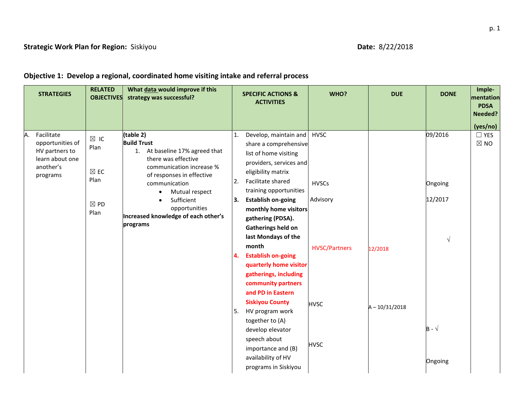## **Objective 1: Develop a regional, coordinated home visiting intake and referral process**

|    | <b>STRATEGIES</b>                                                                            | <b>RELATED</b><br><b>OBJECTIVES</b>              | What data would improve if this<br>strategy was successful?                                                                                                        |          | <b>SPECIFIC ACTIONS &amp;</b><br><b>ACTIVITIES</b>                                                                                                                   | WHO?                        | <b>DUE</b>       | <b>DONE</b>              | Imple-<br>mentation<br><b>PDSA</b><br>Needed?<br>(yes/no) |
|----|----------------------------------------------------------------------------------------------|--------------------------------------------------|--------------------------------------------------------------------------------------------------------------------------------------------------------------------|----------|----------------------------------------------------------------------------------------------------------------------------------------------------------------------|-----------------------------|------------------|--------------------------|-----------------------------------------------------------|
| A. | Facilitate<br>opportunities of<br>HV partners to<br>learn about one<br>another's<br>programs | $\boxtimes$ IC<br>Plan<br>$\boxtimes$ EC<br>Plan | (table 2)<br><b>Build Trust</b><br>1. At baseline 17% agreed that<br>there was effective<br>communication increase %<br>of responses in effective<br>communication | 1.<br>2. | Develop, maintain and<br>share a comprehensive<br>list of home visiting<br>providers, services and<br>eligibility matrix<br>Facilitate shared                        | <b>HVSC</b><br><b>HVSCs</b> |                  | 09/2016<br>Ongoing       | $\Box$ YES<br>$\boxtimes$ NO                              |
|    |                                                                                              | $\boxtimes$ PD<br>Plan                           | Mutual respect<br>$\bullet$<br>Sufficient<br>opportunities<br>Increased knowledge of each other's<br>programs                                                      | 3.       | training opportunities<br><b>Establish on-going</b><br>monthly home visitors<br>gathering (PDSA).<br>Gatherings held on<br>last Mondays of the                       | Advisory                    |                  | 12/2017<br>$\sqrt{}$     |                                                           |
|    |                                                                                              |                                                  |                                                                                                                                                                    | 4.       | month<br><b>Establish on-going</b><br>quarterly home visitor<br>gatherings, including<br>community partners<br>and PD in Eastern                                     | <b>HVSC/Partners</b>        | 12/2018          |                          |                                                           |
|    |                                                                                              |                                                  |                                                                                                                                                                    | 5.       | <b>Siskiyou County</b><br>HV program work<br>together to (A)<br>develop elevator<br>speech about<br>importance and (B)<br>availability of HV<br>programs in Siskiyou | <b>HVSC</b><br><b>HVSC</b>  | $A - 10/31/2018$ | $B - \sqrt{}$<br>Ongoing |                                                           |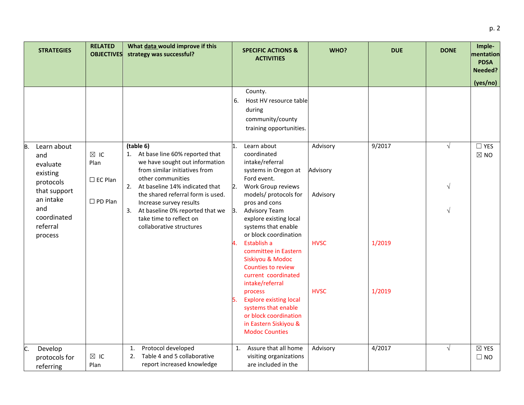|    | <b>STRATEGIES</b>                                                                                                                 | <b>RELATED</b><br><b>OBJECTIVES</b>                           | What data would improve if this<br>strategy was successful?                                                                                                                                                                                                                                                                                 | <b>SPECIFIC ACTIONS &amp;</b><br><b>ACTIVITIES</b>                                                                                                                                                                                                                                                                                                                                                                                                                                                                                                                              | WHO?                                                           | <b>DUE</b>                 | <b>DONE</b>                           | Imple-<br>mentation<br><b>PDSA</b><br>Needed?<br>(yes/no) |
|----|-----------------------------------------------------------------------------------------------------------------------------------|---------------------------------------------------------------|---------------------------------------------------------------------------------------------------------------------------------------------------------------------------------------------------------------------------------------------------------------------------------------------------------------------------------------------|---------------------------------------------------------------------------------------------------------------------------------------------------------------------------------------------------------------------------------------------------------------------------------------------------------------------------------------------------------------------------------------------------------------------------------------------------------------------------------------------------------------------------------------------------------------------------------|----------------------------------------------------------------|----------------------------|---------------------------------------|-----------------------------------------------------------|
|    |                                                                                                                                   |                                                               |                                                                                                                                                                                                                                                                                                                                             | County.<br>Host HV resource table<br>6.<br>during<br>community/county<br>training opportunities.                                                                                                                                                                                                                                                                                                                                                                                                                                                                                |                                                                |                            |                                       |                                                           |
| B. | Learn about<br>and<br>evaluate<br>existing<br>protocols<br>that support<br>an intake<br>and<br>coordinated<br>referral<br>process | $\boxtimes$ IC<br>Plan<br>$\Box$ EC Plan<br>$\square$ PD Plan | (table 6)<br>1. At base line 60% reported that<br>we have sought out information<br>from similar initiatives from<br>other communities<br>At baseline 14% indicated that<br>2.<br>the shared referral form is used.<br>Increase survey results<br>3. At baseline 0% reported that we<br>take time to reflect on<br>collaborative structures | Learn about<br>1.<br>coordinated<br>intake/referral<br>systems in Oregon at<br>Ford event.<br>Work Group reviews<br>2.<br>models/ protocols for<br>pros and cons<br>3.<br><b>Advisory Team</b><br>explore existing local<br>systems that enable<br>or block coordination<br>Establish a<br>4.<br>committee in Eastern<br><b>Siskiyou &amp; Modoc</b><br><b>Counties to review</b><br>current coordinated<br>intake/referral<br>process<br><b>Explore existing local</b><br>5.<br>systems that enable<br>or block coordination<br>in Eastern Siskiyou &<br><b>Modoc Counties</b> | Advisory<br>Advisory<br>Advisory<br><b>HVSC</b><br><b>HVSC</b> | 9/2017<br>1/2019<br>1/2019 | $\sqrt{ }$<br>$\sqrt{ }$<br>$\sqrt{}$ | $\Box$ YES<br>$\boxtimes$ NO                              |
| C. | Develop<br>protocols for<br>referring                                                                                             | $\boxtimes$ IC<br>Plan                                        | Protocol developed<br>1.<br>Table 4 and 5 collaborative<br>2.<br>report increased knowledge                                                                                                                                                                                                                                                 | Assure that all home<br>1.<br>visiting organizations<br>are included in the                                                                                                                                                                                                                                                                                                                                                                                                                                                                                                     | Advisory                                                       | 4/2017                     | $\sqrt{ }$                            | $\boxtimes$ YES<br>$\square$ NO                           |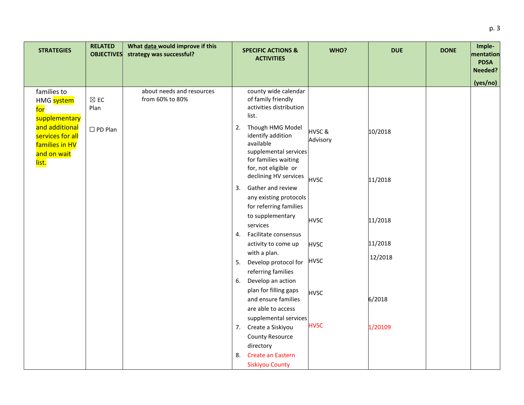| <b>STRATEGIES</b>                                                            | <b>RELATED</b><br><b>OBJECTIVES</b> | What data would improve if this<br>strategy was successful? | <b>SPECIFIC ACTIONS &amp;</b><br><b>ACTIVITIES</b>                                                                                                         | WHO?              | <b>DUE</b> | <b>DONE</b> | Imple-<br>mentation<br><b>PDSA</b><br>Needed? |
|------------------------------------------------------------------------------|-------------------------------------|-------------------------------------------------------------|------------------------------------------------------------------------------------------------------------------------------------------------------------|-------------------|------------|-------------|-----------------------------------------------|
|                                                                              |                                     |                                                             |                                                                                                                                                            |                   |            |             | (yes/no)                                      |
| families to<br>HMG system<br>for<br>supplementary                            | $\boxtimes$ EC<br>Plan              | about needs and resources<br>from 60% to 80%                | county wide calendar<br>of family friendly<br>activities distribution<br>list.                                                                             |                   |            |             |                                               |
| and additional<br>services for all<br>families in HV<br>and on wait<br>list. | $\square$ PD Plan                   |                                                             | Though HMG Model<br>2.<br>identify addition<br>available<br>supplemental services<br>for families waiting<br>for, not eligible or<br>declining HV services | HVSC&<br>Advisory | 10/2018    |             |                                               |
|                                                                              |                                     |                                                             | Gather and review<br>3.<br>any existing protocols<br>for referring families                                                                                | <b>HVSC</b>       | 11/2018    |             |                                               |
|                                                                              |                                     |                                                             | to supplementary<br>services<br>Facilitate consensus<br>4.                                                                                                 | <b>HVSC</b>       | 11/2018    |             |                                               |
|                                                                              |                                     |                                                             | activity to come up                                                                                                                                        | <b>HVSC</b>       | 11/2018    |             |                                               |
|                                                                              |                                     |                                                             | with a plan.<br>Develop protocol for<br>5.<br>referring families                                                                                           | <b>HVSC</b>       | 12/2018    |             |                                               |
|                                                                              |                                     |                                                             | Develop an action<br>6.<br>plan for filling gaps<br>and ensure families                                                                                    | <b>HVSC</b>       | 6/2018     |             |                                               |
|                                                                              |                                     |                                                             | are able to access<br>supplemental services<br>7. Create a Siskiyou                                                                                        | <b>HVSC</b>       | 1/20109    |             |                                               |
|                                                                              |                                     |                                                             | County Resource<br>directory                                                                                                                               |                   |            |             |                                               |
|                                                                              |                                     |                                                             | <b>Create an Eastern</b><br>8.<br><b>Siskiyou County</b>                                                                                                   |                   |            |             |                                               |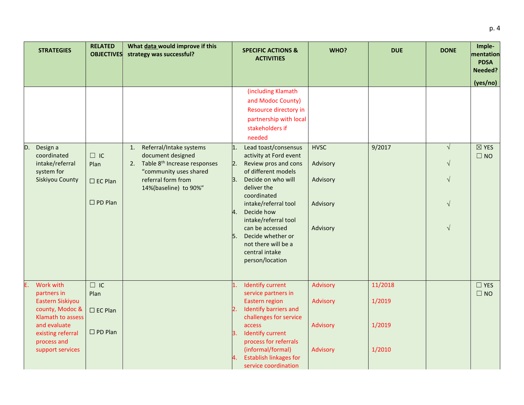|    | <b>STRATEGIES</b>                                                                                                                                            | <b>RELATED</b><br><b>OBJECTIVES</b>                         | What data would improve if this<br>strategy was successful?                                                                                                                   | <b>SPECIFIC ACTIONS &amp;</b><br><b>ACTIVITIES</b>                                                                                                                                                                                                                                                                                                | WHO?                                                        | <b>DUE</b>                            | <b>DONE</b>                                                     | Imple-<br>mentation<br><b>PDSA</b><br>Needed? |
|----|--------------------------------------------------------------------------------------------------------------------------------------------------------------|-------------------------------------------------------------|-------------------------------------------------------------------------------------------------------------------------------------------------------------------------------|---------------------------------------------------------------------------------------------------------------------------------------------------------------------------------------------------------------------------------------------------------------------------------------------------------------------------------------------------|-------------------------------------------------------------|---------------------------------------|-----------------------------------------------------------------|-----------------------------------------------|
|    |                                                                                                                                                              |                                                             |                                                                                                                                                                               | (including Klamath<br>and Modoc County)<br>Resource directory in<br>partnership with local<br>stakeholders if<br>needed                                                                                                                                                                                                                           |                                                             |                                       |                                                                 | (yes/no)                                      |
| D. | Design a<br>coordinated<br>intake/referral<br>system for<br>Siskiyou County                                                                                  | $\Box$ IC<br>Plan<br>$\square$ EC Plan<br>$\square$ PD Plan | Referral/Intake systems<br>1.<br>document designed<br>Table 8 <sup>th</sup> Increase responses<br>2.<br>"community uses shared<br>referral form from<br>14%(baseline) to 90%" | Lead toast/consensus<br>1.<br>activity at Ford event<br>Review pros and cons<br>2.<br>of different models<br>Decide on who will<br>3.<br>deliver the<br>coordinated<br>intake/referral tool<br>Decide how<br>4.<br>intake/referral tool<br>can be accessed<br>Decide whether or<br>5.<br>not there will be a<br>central intake<br>person/location | <b>HVSC</b><br>Advisory<br>Advisory<br>Advisory<br>Advisory | 9/2017                                | $\sqrt{ }$<br>$\sqrt{ }$<br>$\sqrt{}$<br>$\sqrt{}$<br>$\sqrt{}$ | $\boxtimes$ YES<br>$\square$ NO               |
|    | Work with<br>partners in<br>Eastern Siskiyou<br>county, Modoc &<br>Klamath to assess<br>and evaluate<br>existing referral<br>process and<br>support services | $\Box$ IC<br>Plan<br>$\square$ EC Plan<br>$\square$ PD Plan |                                                                                                                                                                               | <b>Identify current</b><br>1.<br>service partners in<br>Eastern region<br>Identify barriers and<br>$\overline{2}$ .<br>challenges for service<br>access<br><b>Identify current</b><br>3.<br>process for referrals<br>(informal/formal)<br><b>Establish linkages for</b><br>4.                                                                     | Advisory<br>Advisory<br>Advisory<br>Advisory                | 11/2018<br>1/2019<br>1/2019<br>1/2010 |                                                                 | $\square$ YES<br>$\square$ NO                 |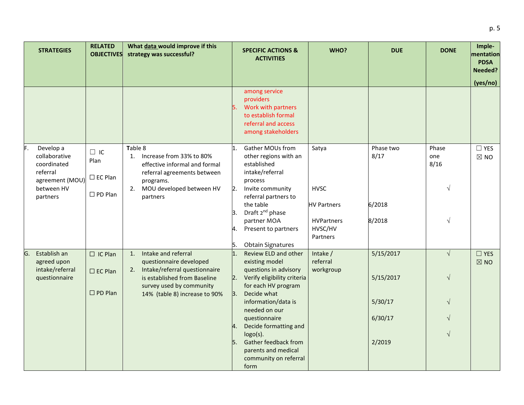|                                                                                                          | (yes/no)                                                          |           |
|----------------------------------------------------------------------------------------------------------|-------------------------------------------------------------------|-----------|
|                                                                                                          |                                                                   |           |
| F.<br>Develop a<br>collaborative<br>coordinated<br>referral<br>agreement (MOU)<br>between HV<br>partners | $\Box$ YES<br>Phase<br>one<br>$\boxtimes$ NO<br>8/16<br>$\sqrt{}$ |           |
|                                                                                                          |                                                                   |           |
| G.<br>Establish an<br>agreed upon<br>intake/referral<br>questionnaire                                    | $\sqrt{ }$<br>$\square$ YES<br>$\boxtimes$ NO<br>$\sqrt{}$        |           |
|                                                                                                          | $\sqrt{ }$<br>$\sqrt{}$<br>$\sqrt{}$                              |           |
|                                                                                                          |                                                                   | $\sqrt{}$ |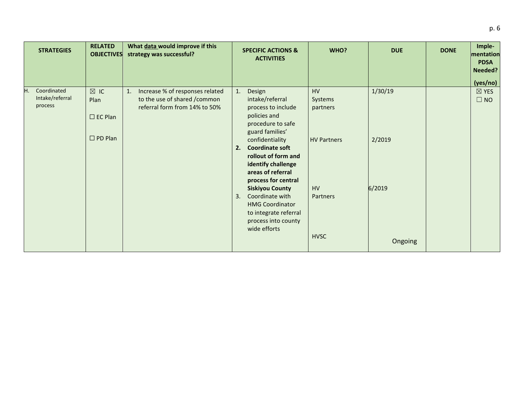|    | <b>STRATEGIES</b>                         | <b>RELATED</b><br><b>OBJECTIVES</b>      | What data would improve if this<br>strategy was successful?                                                        |    | <b>SPECIFIC ACTIONS &amp;</b><br><b>ACTIVITIES</b>                                                                                  | WHO?                      | <b>DUE</b> | <b>DONE</b> | Imple-<br>mentation<br><b>PDSA</b><br>Needed?<br>(yes/no) |
|----|-------------------------------------------|------------------------------------------|--------------------------------------------------------------------------------------------------------------------|----|-------------------------------------------------------------------------------------------------------------------------------------|---------------------------|------------|-------------|-----------------------------------------------------------|
| H. | Coordinated<br>Intake/referral<br>process | $\boxtimes$ IC<br>Plan<br>$\Box$ EC Plan | Increase % of responses related<br>$\mathbf{1}$ .<br>to the use of shared /common<br>referral form from 14% to 50% | 1. | Design<br>intake/referral<br>process to include<br>policies and<br>procedure to safe<br>guard families'                             | HV<br>Systems<br>partners | 1/30/19    |             | $\boxtimes$ YES<br>$\Box$ NO                              |
|    |                                           | $\square$ PD Plan                        |                                                                                                                    | 2. | confidentiality<br><b>Coordinate soft</b><br>rollout of form and<br>identify challenge<br>areas of referral<br>process for central  | <b>HV Partners</b>        | 2/2019     |             |                                                           |
|    |                                           |                                          |                                                                                                                    | 3. | <b>Siskiyou County</b><br>Coordinate with<br><b>HMG Coordinator</b><br>to integrate referral<br>process into county<br>wide efforts | <b>HV</b><br>Partners     | 6/2019     |             |                                                           |
|    |                                           |                                          |                                                                                                                    |    |                                                                                                                                     | <b>HVSC</b>               | Ongoing    |             |                                                           |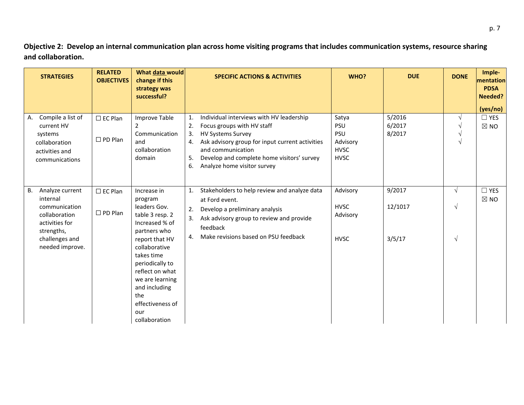**Objective 2: Develop an internal communication plan across home visiting programs that includes communication systems, resource sharing and collaboration.** 

| <b>STRATEGIES</b>                                                                                     | <b>RELATED</b><br><b>OBJECTIVES</b>    | What data would<br>change if this<br>strategy was<br>successful?                                                                                                           | <b>DUE</b><br>WHO?<br><b>SPECIFIC ACTIONS &amp; ACTIVITIES</b>                                                                                                                                                                                                                                                                                                                                                       | <b>DONE</b>             | Imple-<br>mentation<br><b>PDSA</b><br>Needed? |
|-------------------------------------------------------------------------------------------------------|----------------------------------------|----------------------------------------------------------------------------------------------------------------------------------------------------------------------------|----------------------------------------------------------------------------------------------------------------------------------------------------------------------------------------------------------------------------------------------------------------------------------------------------------------------------------------------------------------------------------------------------------------------|-------------------------|-----------------------------------------------|
| Compile a list of<br>А.<br>current HV<br>systems<br>collaboration<br>activities and<br>communications | $\square$ EC Plan<br>$\square$ PD Plan | Improve Table<br>2<br>Communication<br>and<br>collaboration<br>domain                                                                                                      | 5/2016<br>Individual interviews with HV leadership<br>Satya<br>$\mathbf{1}$ .<br>6/2017<br>Focus groups with HV staff<br><b>PSU</b><br>2.<br><b>PSU</b><br>8/2017<br>3.<br><b>HV Systems Survey</b><br>Ask advisory group for input current activities<br>Advisory<br>4.<br>and communication<br><b>HVSC</b><br>Develop and complete home visitors' survey<br><b>HVSC</b><br>5.<br>6.<br>Analyze home visitor survey |                         | (yes/no)<br>$\Box$ YES<br>$\boxtimes$ NO      |
| Analyze current<br>B.<br>internal<br>communication<br>collaboration<br>activities for<br>strengths,   | $\square$ EC Plan<br>$\square$ PD Plan | Increase in<br>program<br>leaders Gov.<br>table 3 resp. 2<br>Increased % of<br>partners who                                                                                | Advisory<br>9/2017<br>Stakeholders to help review and analyze data<br>1.<br>at Ford event.<br><b>HVSC</b><br>12/1017<br>2. Develop a preliminary analysis<br>Advisory<br>3.<br>Ask advisory group to review and provide<br>feedback                                                                                                                                                                                  | $\lambda$<br>$\sqrt{ }$ | $\Box$ YES<br>$\boxtimes$ NO                  |
| challenges and<br>needed improve.                                                                     |                                        | report that HV<br>collaborative<br>takes time<br>periodically to<br>reflect on what<br>we are learning<br>and including<br>the<br>effectiveness of<br>our<br>collaboration | Make revisions based on PSU feedback<br>4.<br>3/5/17<br><b>HVSC</b>                                                                                                                                                                                                                                                                                                                                                  | $\sqrt{ }$              |                                               |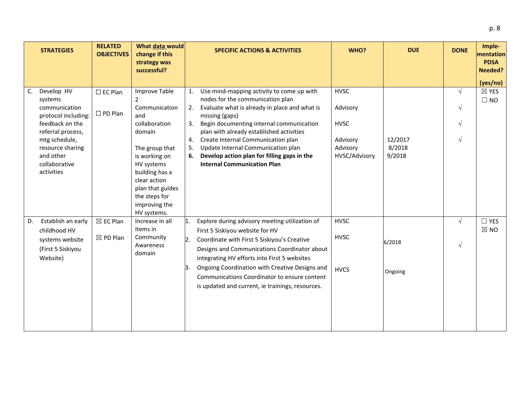|    | <b>STRATEGIES</b>                                                                                                                                                                      | <b>RELATED</b><br><b>OBJECTIVES</b>        | What data would<br>change if this<br>strategy was<br>successful?                                                                                                                                                                     |                                  | <b>SPECIFIC ACTIONS &amp; ACTIVITIES</b>                                                                                                                                                                                                                                                                                                                                                                  | WHO?                                                                            | <b>DUE</b>                  | <b>DONE</b>                                          | Imple-<br>mentation<br><b>PDSA</b><br>Needed? |
|----|----------------------------------------------------------------------------------------------------------------------------------------------------------------------------------------|--------------------------------------------|--------------------------------------------------------------------------------------------------------------------------------------------------------------------------------------------------------------------------------------|----------------------------------|-----------------------------------------------------------------------------------------------------------------------------------------------------------------------------------------------------------------------------------------------------------------------------------------------------------------------------------------------------------------------------------------------------------|---------------------------------------------------------------------------------|-----------------------------|------------------------------------------------------|-----------------------------------------------|
|    |                                                                                                                                                                                        |                                            |                                                                                                                                                                                                                                      |                                  |                                                                                                                                                                                                                                                                                                                                                                                                           |                                                                                 |                             |                                                      | (yes/no)                                      |
| C. | Develop HV<br>systems<br>communication<br>protocol including:<br>feedback on the<br>referral process,<br>mtg schedule,<br>resource sharing<br>and other<br>collaborative<br>activities | $\square$ EC Plan<br>$\square$ PD Plan     | <b>Improve Table</b><br>2<br>Communication<br>and<br>collaboration<br>domain<br>The group that<br>is working on<br>HV systems<br>building has a<br>clear action<br>plan that guides<br>the steps for<br>improving the<br>HV systems. | 1.<br>2.<br>3.<br>4.<br>5.<br>6. | Use mind-mapping activity to come up with<br>nodes for the communication plan<br>Evaluate what is already in place and what is<br>missing (gaps)<br>Begin documenting internal communication<br>plan with already established activities<br>Create Internal Communication plan<br>Update Internal Communication plan<br>Develop action plan for filling gaps in the<br><b>Internal Communication Plan</b> | <b>HVSC</b><br>Advisory<br><b>HVSC</b><br>Advisory<br>Advisory<br>HVSC/Advisory | 12/2017<br>8/2018<br>9/2018 | $\sqrt{ }$<br>$\sqrt{ }$<br>$\sqrt{ }$<br>$\sqrt{ }$ | $\boxtimes$ YES<br>$\Box$ NO                  |
| D. | Establish an early<br>childhood HV<br>systems website<br>(First 5 Siskiyou<br>Website)                                                                                                 | $\boxtimes$ EC Plan<br>$\boxtimes$ PD Plan | Increase in all<br>items in<br>Community<br>Awareness<br>domain                                                                                                                                                                      | 1.<br>2.<br>Β.                   | Explore during advisory meeting utilization of<br>First 5 Siskiyou website for HV<br>Coordinate with First 5 Siskiyou's Creative<br>Designs and Communications Coordinator about<br>integrating HV efforts into First 5 websites<br>Ongoing Coordination with Creative Designs and<br>Communications Coordinator to ensure content<br>is updated and current, ie trainings, resources.                    | <b>HVSC</b><br><b>HVSC</b><br><b>HVCS</b>                                       | 6/2018<br>Ongoing           | $\sqrt{ }$<br>$\sqrt{ }$                             | $\Box$ YES<br>$\boxtimes$ NO                  |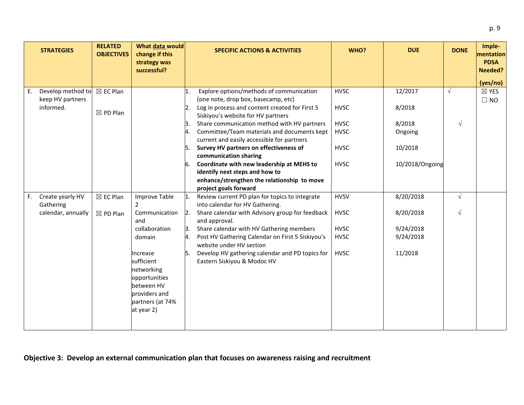|    | <b>STRATEGIES</b>             | <b>RELATED</b><br><b>OBJECTIVES</b> | What data would<br>change if this |    | <b>SPECIFIC ACTIONS &amp; ACTIVITIES</b>                                              | WHO?        | <b>DUE</b>      | <b>DONE</b> | Imple-<br>mentation<br><b>PDSA</b> |
|----|-------------------------------|-------------------------------------|-----------------------------------|----|---------------------------------------------------------------------------------------|-------------|-----------------|-------------|------------------------------------|
|    |                               |                                     | strategy was<br>successful?       |    |                                                                                       |             |                 |             | Needed?                            |
|    |                               |                                     |                                   |    |                                                                                       |             |                 |             | (yes/no)                           |
| E. | Develop method to             | $\boxtimes$ EC Plan                 |                                   | 1. | Explore options/methods of communication                                              | <b>HVSC</b> | 12/2017         | $\sqrt{ }$  | $\boxtimes$ YES                    |
|    | keep HV partners<br>informed. |                                     |                                   | 2. | (one note, drop box, basecamp, etc)<br>Log in process and content created for First 5 | <b>HVSC</b> | 8/2018          |             | $\Box$ NO                          |
|    |                               | $\boxtimes$ PD Plan                 |                                   |    | Siskiyou's website for HV partners                                                    |             |                 |             |                                    |
|    |                               |                                     |                                   | З. | Share communication method with HV partners                                           | <b>HVSC</b> | 8/2018          | $\sqrt{}$   |                                    |
|    |                               |                                     |                                   | 4. | Committee/Team materials and documents kept                                           | <b>HVSC</b> | Ongoing         |             |                                    |
|    |                               |                                     |                                   |    | current and easily accessible for partners                                            |             |                 |             |                                    |
|    |                               |                                     |                                   | 5. | Survey HV partners on effectiveness of                                                | <b>HVSC</b> | 10/2018         |             |                                    |
|    |                               |                                     |                                   |    | communication sharing                                                                 |             |                 |             |                                    |
|    |                               |                                     |                                   | 6. | Coordinate with new leadership at MEHS to                                             | <b>HVSC</b> | 10/2018/Ongoing |             |                                    |
|    |                               |                                     |                                   |    | identify next steps and how to                                                        |             |                 |             |                                    |
|    |                               |                                     |                                   |    | enhance/strengthen the relationship to move<br>project goals forward                  |             |                 |             |                                    |
| F. | Create yearly HV              | $\boxtimes$ EC Plan                 | Improve Table                     | 1. | Review current PD plan for topics to integrate                                        | <b>HVSV</b> | 8/20/2018       | $\sqrt{ }$  |                                    |
|    | Gathering                     |                                     | $\mathcal{P}$                     |    | into calendar for HV Gathering.                                                       |             |                 |             |                                    |
|    | calendar, annually            | $\boxtimes$ PD Plan                 | Communication                     | 2. | Share calendar with Advisory group for feedback                                       | <b>HVSC</b> | 8/20/2018       | $\sqrt{ }$  |                                    |
|    |                               |                                     | and                               |    | and approval.                                                                         |             |                 |             |                                    |
|    |                               |                                     | collaboration                     | 3. | Share calendar with HV Gathering members                                              | <b>HVSC</b> | 9/24/2018       |             |                                    |
|    |                               |                                     | domain                            | 4. | Post HV Gathering Calendar on First 5 Siskiyou's                                      | <b>HVSC</b> | 9/24/2018       |             |                                    |
|    |                               |                                     |                                   |    | website under HV section                                                              |             |                 |             |                                    |
|    |                               |                                     | Increase<br>sufficient            | 5. | Develop HV gathering calendar and PD topics for<br>Eastern Siskiyou & Modoc HV        | <b>HVSC</b> | 11/2018         |             |                                    |
|    |                               |                                     | networking                        |    |                                                                                       |             |                 |             |                                    |
|    |                               |                                     | opportunities                     |    |                                                                                       |             |                 |             |                                    |
|    |                               |                                     | between HV                        |    |                                                                                       |             |                 |             |                                    |
|    |                               |                                     | providers and                     |    |                                                                                       |             |                 |             |                                    |
|    |                               |                                     | partners (at 74%                  |    |                                                                                       |             |                 |             |                                    |
|    |                               |                                     | at year 2)                        |    |                                                                                       |             |                 |             |                                    |
|    |                               |                                     |                                   |    |                                                                                       |             |                 |             |                                    |
|    |                               |                                     |                                   |    |                                                                                       |             |                 |             |                                    |

## **Objective 3: Develop an external communication plan that focuses on awareness raising and recruitment**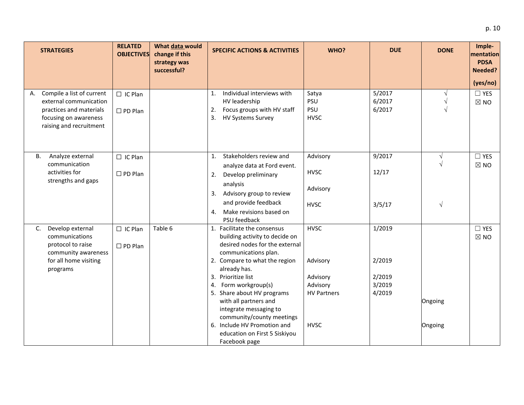| <b>STRATEGIES</b>                                                                                                                        | <b>RELATED</b><br><b>OBJECTIVES</b> | What data would<br>change if this<br>strategy was<br>successful? | <b>SPECIFIC ACTIONS &amp; ACTIVITIES</b>                                                                                                                                                                                                                                                                                                                                                                              | WHO?                                                                                 | <b>DUE</b>                                     | <b>DONE</b>                            | Imple-<br>mentation<br><b>PDSA</b><br>Needed? |
|------------------------------------------------------------------------------------------------------------------------------------------|-------------------------------------|------------------------------------------------------------------|-----------------------------------------------------------------------------------------------------------------------------------------------------------------------------------------------------------------------------------------------------------------------------------------------------------------------------------------------------------------------------------------------------------------------|--------------------------------------------------------------------------------------|------------------------------------------------|----------------------------------------|-----------------------------------------------|
|                                                                                                                                          |                                     |                                                                  |                                                                                                                                                                                                                                                                                                                                                                                                                       |                                                                                      |                                                |                                        | (yes/no)                                      |
| Compile a list of current<br>Α.<br>external communication<br>practices and materials<br>focusing on awareness<br>raising and recruitment | $\Box$ IC Plan<br>$\square$ PD Plan |                                                                  | Individual interviews with<br>1.<br>HV leadership<br>Focus groups with HV staff<br>2.<br>3.<br>HV Systems Survey                                                                                                                                                                                                                                                                                                      | Satya<br>PSU<br>PSU<br><b>HVSC</b>                                                   | 5/2017<br>6/2017<br>6/2017                     | $\sqrt{ }$<br>$\sqrt{ }$<br>$\sqrt{ }$ | $\Box$ YES<br>$\boxtimes$ NO                  |
| Analyze external<br>В.<br>communication<br>activities for<br>strengths and gaps                                                          | $\Box$ IC Plan<br>$\square$ PD Plan |                                                                  | Stakeholders review and<br>1.<br>analyze data at Ford event.<br>2. Develop preliminary<br>analysis<br>3. Advisory group to review<br>and provide feedback<br>Make revisions based on<br>4.<br>PSU feedback                                                                                                                                                                                                            | Advisory<br><b>HVSC</b><br>Advisory<br><b>HVSC</b>                                   | 9/2017<br>12/17<br>3/5/17                      | V<br>$\sqrt{ }$                        | $\Box$ YES<br>$\boxtimes$ NO                  |
| Develop external<br>C.<br>communications<br>protocol to raise<br>community awareness<br>for all home visiting<br>programs                | $\Box$ IC Plan<br>$\square$ PD Plan | Table 6                                                          | 1. Facilitate the consensus<br>building activity to decide on<br>desired nodes for the external<br>communications plan.<br>2. Compare to what the region<br>already has.<br>3. Prioritize list<br>4. Form workgroup(s)<br>5. Share about HV programs<br>with all partners and<br>integrate messaging to<br>community/county meetings<br>6. Include HV Promotion and<br>education on First 5 Siskiyou<br>Facebook page | <b>HVSC</b><br>Advisory<br>Advisory<br>Advisory<br><b>HV Partners</b><br><b>HVSC</b> | 1/2019<br>2/2019<br>2/2019<br>3/2019<br>4/2019 | Ongoing<br>Ongoing                     | $\Box$ YES<br>$\boxtimes$ NO                  |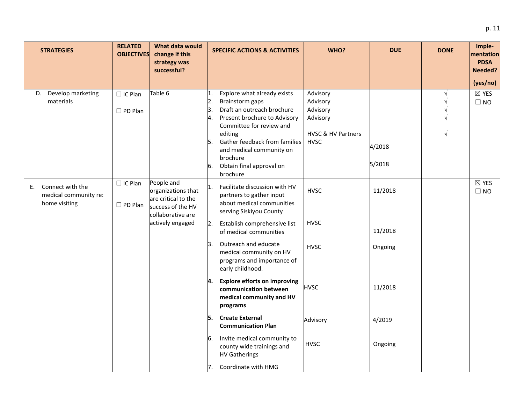| <b>STRATEGIES</b>                                             | <b>RELATED</b><br><b>OBJECTIVES</b> | What data would<br>change if this<br>strategy was<br>successful?                                  |                            | <b>SPECIFIC ACTIONS &amp; ACTIVITIES</b>                                                                                                                                                                                                                             | WHO?                                                                              | <b>DUE</b>       | <b>DONE</b>                                        | Imple-<br>mentation<br><b>PDSA</b><br>Needed? |
|---------------------------------------------------------------|-------------------------------------|---------------------------------------------------------------------------------------------------|----------------------------|----------------------------------------------------------------------------------------------------------------------------------------------------------------------------------------------------------------------------------------------------------------------|-----------------------------------------------------------------------------------|------------------|----------------------------------------------------|-----------------------------------------------|
|                                                               |                                     |                                                                                                   |                            |                                                                                                                                                                                                                                                                      |                                                                                   |                  |                                                    | (yes/no)                                      |
| D. Develop marketing<br>materials                             | $\Box$ IC Plan<br>$\square$ PD Plan | Table 6                                                                                           | 1.<br>Β.<br>4.<br>5.<br>6. | Explore what already exists<br>Brainstorm gaps<br>Draft an outreach brochure<br>Present brochure to Advisory<br>Committee for review and<br>editing<br>Gather feedback from families<br>and medical community on<br>brochure<br>Obtain final approval on<br>brochure | Advisory<br>Advisory<br>Advisory<br>Advisory<br>HVSC & HV Partners<br><b>HVSC</b> | 4/2018<br>5/2018 | $\sqrt{}$<br>$\sqrt{ }$<br>$\sqrt{}$<br>$\sqrt{ }$ | $\boxtimes$ YES<br>$\Box$ NO                  |
| E. Connect with the<br>medical community re:<br>home visiting | $\Box$ IC Plan<br>$\square$ PD Plan | People and<br>organizations that<br>are critical to the<br>success of the HV<br>collaborative are | 11.                        | Facilitate discussion with HV<br>partners to gather input<br>about medical communities<br>serving Siskiyou County                                                                                                                                                    | <b>HVSC</b>                                                                       | 11/2018          |                                                    | $\boxtimes$ YES<br>$\square$ NO               |
|                                                               |                                     | actively engaged                                                                                  | 2.                         | Establish comprehensive list<br>of medical communities                                                                                                                                                                                                               | <b>HVSC</b>                                                                       | 11/2018          |                                                    |                                               |
|                                                               |                                     |                                                                                                   | lЗ.                        | Outreach and educate<br>medical community on HV<br>programs and importance of<br>early childhood.                                                                                                                                                                    | <b>HVSC</b>                                                                       | Ongoing          |                                                    |                                               |
|                                                               |                                     |                                                                                                   | 4.                         | <b>Explore efforts on improving</b><br>communication between<br>medical community and HV<br>programs                                                                                                                                                                 | <b>HVSC</b>                                                                       | 11/2018          |                                                    |                                               |
|                                                               |                                     |                                                                                                   | l5.                        | <b>Create External</b><br><b>Communication Plan</b>                                                                                                                                                                                                                  | Advisory                                                                          | 4/2019           |                                                    |                                               |
|                                                               |                                     |                                                                                                   | 6.                         | Invite medical community to<br>county wide trainings and<br><b>HV Gatherings</b>                                                                                                                                                                                     | <b>HVSC</b>                                                                       | Ongoing          |                                                    |                                               |
|                                                               |                                     |                                                                                                   | 17.                        | Coordinate with HMG                                                                                                                                                                                                                                                  |                                                                                   |                  |                                                    |                                               |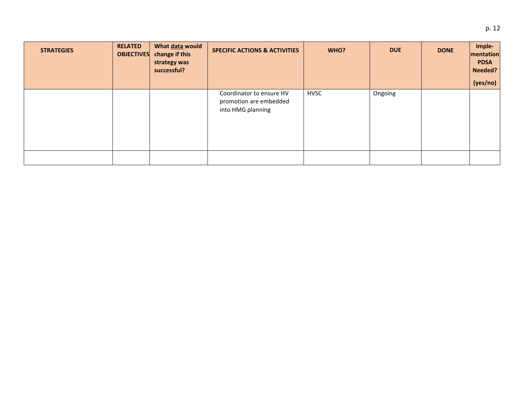| <b>STRATEGIES</b> | <b>RELATED</b><br><b>OBJECTIVES</b> | What data would<br>change if this<br>strategy was<br>successful? | <b>SPECIFIC ACTIONS &amp; ACTIVITIES</b>                                | WHO?        | <b>DUE</b> | <b>DONE</b> | Imple-<br>mentation<br><b>PDSA</b><br>Needed?<br>(yes/no) |
|-------------------|-------------------------------------|------------------------------------------------------------------|-------------------------------------------------------------------------|-------------|------------|-------------|-----------------------------------------------------------|
|                   |                                     |                                                                  | Coordinator to ensure HV<br>promotion are embedded<br>into HMG planning | <b>HVSC</b> | Ongoing    |             |                                                           |
|                   |                                     |                                                                  |                                                                         |             |            |             |                                                           |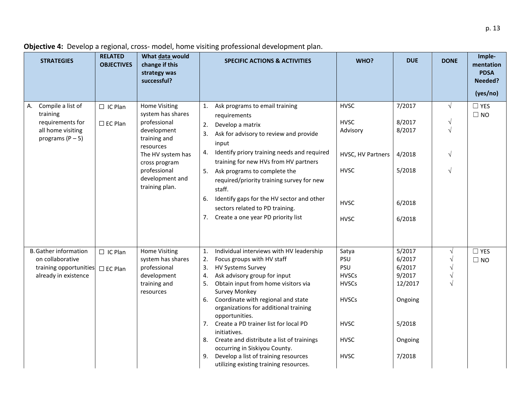| <b>STRATEGIES</b>                                                                                  | <b>RELATED</b><br><b>OBJECTIVES</b> | What data would<br>change if this<br>strategy was<br>successful?                                                                                                                                 | <b>DUE</b><br>WHO?<br><b>SPECIFIC ACTIONS &amp; ACTIVITIES</b>                                                                                                                                                                                                                                                                                                                                                                                                                                                                                                                                                                                   | <b>DONE</b>                                                    | Imple-<br>mentation<br><b>PDSA</b><br>Needed?<br>(yes/no) |
|----------------------------------------------------------------------------------------------------|-------------------------------------|--------------------------------------------------------------------------------------------------------------------------------------------------------------------------------------------------|--------------------------------------------------------------------------------------------------------------------------------------------------------------------------------------------------------------------------------------------------------------------------------------------------------------------------------------------------------------------------------------------------------------------------------------------------------------------------------------------------------------------------------------------------------------------------------------------------------------------------------------------------|----------------------------------------------------------------|-----------------------------------------------------------|
|                                                                                                    |                                     |                                                                                                                                                                                                  |                                                                                                                                                                                                                                                                                                                                                                                                                                                                                                                                                                                                                                                  |                                                                |                                                           |
| Compile a list of<br>А.<br>training<br>requirements for<br>all home visiting<br>programs $(P - 5)$ | $\Box$ IC Plan<br>$\Box$ EC Plan    | <b>Home Visiting</b><br>system has shares<br>professional<br>development<br>training and<br>resources<br>The HV system has<br>cross program<br>professional<br>development and<br>training plan. | 7/2017<br><b>HVSC</b><br>Ask programs to email training<br>1.<br>requirements<br>8/2017<br><b>HVSC</b><br>Develop a matrix<br>2.<br>8/2017<br>Advisory<br>Ask for advisory to review and provide<br>3.<br>input<br>Identify priory training needs and required<br>4.<br>HVSC, HV Partners<br>4/2018<br>training for new HVs from HV partners<br><b>HVSC</b><br>5/2018<br>5. Ask programs to complete the<br>required/priority training survey for new<br>staff.<br>Identify gaps for the HV sector and other<br>6.<br><b>HVSC</b><br>6/2018<br>sectors related to PD training.<br>7. Create a one year PD priority list<br><b>HVSC</b><br>6/2018 | $\sqrt{}$<br>$\sqrt{}$<br>$\sqrt{}$<br>$\sqrt{}$<br>$\sqrt{ }$ | $\square$ YES<br>$\Box$ NO                                |
| <b>B.</b> Gather information                                                                       | $\Box$ IC Plan                      | <b>Home Visiting</b>                                                                                                                                                                             | 5/2017<br>Individual interviews with HV leadership<br>1.<br>Satya                                                                                                                                                                                                                                                                                                                                                                                                                                                                                                                                                                                | $\sqrt{}$                                                      | $\square$ YES                                             |
| on collaborative                                                                                   |                                     | system has shares                                                                                                                                                                                | PSU<br>6/2017<br>2.<br>Focus groups with HV staff                                                                                                                                                                                                                                                                                                                                                                                                                                                                                                                                                                                                |                                                                | $\Box$ NO                                                 |
| training opportunities                                                                             | $\square$ EC Plan                   | professional                                                                                                                                                                                     | <b>HV Systems Survey</b><br>PSU<br>3.<br>6/2017                                                                                                                                                                                                                                                                                                                                                                                                                                                                                                                                                                                                  | $\sqrt{ }$                                                     |                                                           |
| already in existence                                                                               |                                     | development                                                                                                                                                                                      | Ask advisory group for input<br><b>HVSCs</b><br>9/2017<br>4.                                                                                                                                                                                                                                                                                                                                                                                                                                                                                                                                                                                     | $\sqrt{}$                                                      |                                                           |
|                                                                                                    |                                     | training and<br>resources                                                                                                                                                                        | <b>HVSCs</b><br>Obtain input from home visitors via<br>12/2017<br>5.<br><b>Survey Monkey</b>                                                                                                                                                                                                                                                                                                                                                                                                                                                                                                                                                     | $\sqrt{}$                                                      |                                                           |
|                                                                                                    |                                     |                                                                                                                                                                                                  | Coordinate with regional and state<br><b>HVSCs</b><br>6.<br>Ongoing<br>organizations for additional training<br>opportunities.                                                                                                                                                                                                                                                                                                                                                                                                                                                                                                                   |                                                                |                                                           |
|                                                                                                    |                                     |                                                                                                                                                                                                  | <b>HVSC</b><br>5/2018<br>Create a PD trainer list for local PD<br>7.<br>initiatives.                                                                                                                                                                                                                                                                                                                                                                                                                                                                                                                                                             |                                                                |                                                           |
|                                                                                                    |                                     |                                                                                                                                                                                                  | 8. Create and distribute a list of trainings<br><b>HVSC</b><br>Ongoing<br>occurring in Siskiyou County.                                                                                                                                                                                                                                                                                                                                                                                                                                                                                                                                          |                                                                |                                                           |
|                                                                                                    |                                     |                                                                                                                                                                                                  | Develop a list of training resources<br><b>HVSC</b><br>7/2018<br>9.<br>utilizing existing training resources.                                                                                                                                                                                                                                                                                                                                                                                                                                                                                                                                    |                                                                |                                                           |

**Objective 4:** Develop a regional, cross- model, home visiting professional development plan.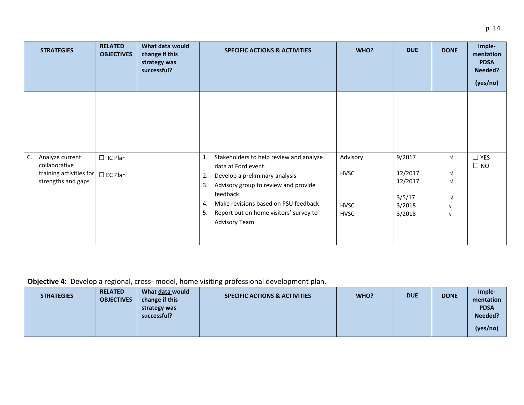| <b>STRATEGIES</b>                                                                       | <b>RELATED</b><br><b>OBJECTIVES</b> | What data would<br>change if this<br>strategy was<br>successful? | <b>SPECIFIC ACTIONS &amp; ACTIVITIES</b>                                                                                                                                                                                                                                              | WHO?                                                  | <b>DUE</b>                                                 | <b>DONE</b>                          | Imple-<br>mentation<br><b>PDSA</b><br>Needed?<br>(yes/no) |
|-----------------------------------------------------------------------------------------|-------------------------------------|------------------------------------------------------------------|---------------------------------------------------------------------------------------------------------------------------------------------------------------------------------------------------------------------------------------------------------------------------------------|-------------------------------------------------------|------------------------------------------------------------|--------------------------------------|-----------------------------------------------------------|
| C.<br>Analyze current<br>collaborative<br>training activities for<br>strengths and gaps | $\Box$ IC Plan<br>$\square$ EC Plan |                                                                  | Stakeholders to help review and analyze<br>1.<br>data at Ford event.<br>Develop a preliminary analysis<br>2.<br>Advisory group to review and provide<br>3.<br>feedback<br>Make revisions based on PSU feedback<br>4.<br>Report out on home visitors' survey to<br>5.<br>Advisory Team | Advisory<br><b>HVSC</b><br><b>HVSC</b><br><b>HVSC</b> | 9/2017<br>12/2017<br>12/2017<br>3/5/17<br>3/2018<br>3/2018 | $\sqrt{ }$<br>V<br>$\mathbf{\hat{}}$ | $\Box$ YES<br>$\square$ NO                                |

 **Objective 4:** Develop a regional, cross- model, home visiting professional development plan.

| <b>STRATEGIES</b> | <b>RELATED</b><br><b>OBJECTIVES</b> | What data would<br>change if this | <b>SPECIFIC ACTIONS &amp; ACTIVITIES</b> | WHO? | <b>DUE</b> | <b>DONE</b> | Imple-<br>mentation |
|-------------------|-------------------------------------|-----------------------------------|------------------------------------------|------|------------|-------------|---------------------|
|                   |                                     | strategy was                      |                                          |      |            |             | <b>PDSA</b>         |
|                   |                                     | successful?                       |                                          |      |            |             | Needed?             |
|                   |                                     |                                   |                                          |      |            |             | (yes/no)            |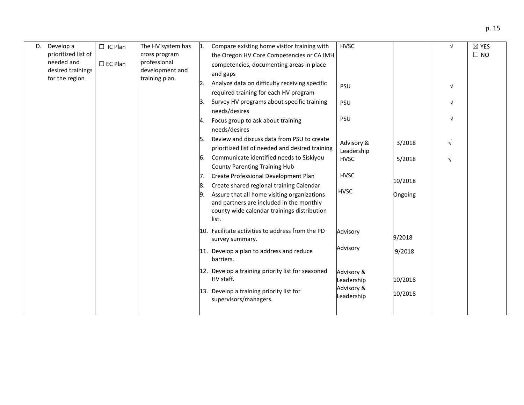| D. | Develop a                           | $\Box$ IC Plan | The HV system has                 | $\mathbf{1}$ .                                       | Compare existing home visitor training with                                             | <b>HVSC</b>       |            | $\sqrt{ }$ | $\boxtimes$ YES |
|----|-------------------------------------|----------------|-----------------------------------|------------------------------------------------------|-----------------------------------------------------------------------------------------|-------------------|------------|------------|-----------------|
|    | prioritized list of                 |                | cross program                     |                                                      | the Oregon HV Core Competencies or CA IMH                                               |                   |            |            | $\Box$ NO       |
|    | needed and                          | $\Box$ EC Plan | professional                      |                                                      | competencies, documenting areas in place                                                |                   |            |            |                 |
|    | desired trainings<br>for the region |                | development and<br>training plan. |                                                      | and gaps                                                                                |                   |            |            |                 |
|    |                                     |                |                                   | Analyze data on difficulty receiving specific<br>12. | <b>PSU</b>                                                                              |                   | $\sqrt{ }$ |            |                 |
|    |                                     |                |                                   |                                                      | required training for each HV program                                                   | <b>PSU</b><br>PSU |            |            |                 |
|    |                                     |                |                                   | ß.                                                   | Survey HV programs about specific training                                              |                   |            | $\sqrt{ }$ |                 |
|    |                                     |                |                                   |                                                      | needs/desires                                                                           |                   |            |            |                 |
|    |                                     |                |                                   | 14.                                                  | Focus group to ask about training                                                       |                   |            | $\sqrt{ }$ |                 |
|    |                                     |                |                                   |                                                      | needs/desires                                                                           |                   |            |            |                 |
|    |                                     |                |                                   | 15.                                                  | Review and discuss data from PSU to create                                              | Advisory &        | 3/2018     | $\sqrt{ }$ |                 |
|    |                                     |                |                                   |                                                      | prioritized list of needed and desired training                                         | Leadership        |            |            |                 |
|    |                                     |                |                                   | 6.                                                   | Communicate identified needs to Siskiyou                                                | <b>HVSC</b>       | 5/2018     | $\sqrt{}$  |                 |
|    |                                     |                |                                   |                                                      | <b>County Parenting Training Hub</b>                                                    |                   |            |            |                 |
|    |                                     |                |                                   | Create Professional Development Plan<br>7.           | <b>HVSC</b>                                                                             | 10/2018           |            |            |                 |
|    |                                     |                |                                   | 18.                                                  | Create shared regional training Calendar                                                | <b>HVSC</b>       |            |            |                 |
|    |                                     |                |                                   |                                                      | Assure that all home visiting organizations                                             |                   | Ongoing    |            |                 |
|    |                                     |                |                                   |                                                      | and partners are included in the monthly<br>county wide calendar trainings distribution |                   |            |            |                 |
|    |                                     |                |                                   |                                                      | list.                                                                                   |                   |            |            |                 |
|    |                                     |                |                                   |                                                      | 10. Facilitate activities to address from the PD                                        |                   |            |            |                 |
|    |                                     |                |                                   |                                                      | survey summary.                                                                         | Advisory          | 9/2018     |            |                 |
|    |                                     |                |                                   |                                                      |                                                                                         | Advisory          |            |            |                 |
|    |                                     |                |                                   |                                                      | 11. Develop a plan to address and reduce<br>barriers.                                   |                   | 9/2018     |            |                 |
|    |                                     |                |                                   |                                                      |                                                                                         |                   |            |            |                 |
|    |                                     |                |                                   |                                                      | 12. Develop a training priority list for seasoned                                       | Advisory &        |            |            |                 |
|    |                                     |                |                                   | HV staff.                                            | Leadership<br>Advisory &                                                                | 10/2018           |            |            |                 |
|    |                                     |                |                                   |                                                      | 13. Develop a training priority list for                                                | Leadership        | 10/2018    |            |                 |
|    |                                     |                |                                   |                                                      | supervisors/managers.                                                                   |                   |            |            |                 |
|    |                                     |                |                                   |                                                      |                                                                                         |                   |            |            |                 |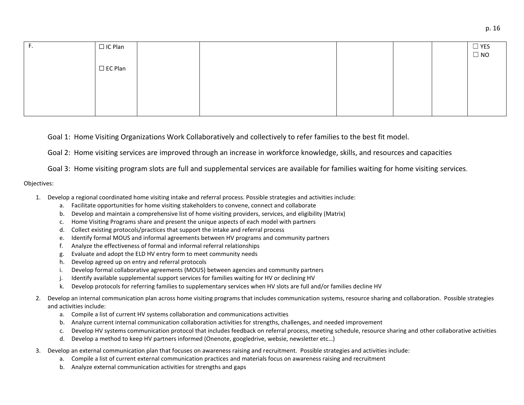| . . | $\Box$ IC Plan    |  |  | $\Box$ YES<br>$\Box$ NO |
|-----|-------------------|--|--|-------------------------|
|     | $\square$ EC Plan |  |  |                         |
|     |                   |  |  |                         |
|     |                   |  |  |                         |
|     |                   |  |  |                         |
|     |                   |  |  |                         |

Goal 1: Home Visiting Organizations Work Collaboratively and collectively to refer families to the best fit model.

Goal 2: Home visiting services are improved through an increase in workforce knowledge, skills, and resources and capacities

Goal 3: Home visiting program slots are full and supplemental services are available for families waiting for home visiting services.

## Objectives:

- 1. Develop a regional coordinated home visiting intake and referral process. Possible strategies and activities include:
	- a. Facilitate opportunities for home visiting stakeholders to convene, connect and collaborate
	- b. Develop and maintain a comprehensive list of home visiting providers, services, and eligibility (Matrix)
	- c. Home Visiting Programs share and present the unique aspects of each model with partners
	- d. Collect existing protocols/practices that support the intake and referral process
	- e. Identify formal MOUS and informal agreements between HV programs and community partners
	- f. Analyze the effectiveness of formal and informal referral relationships
	- g. Evaluate and adopt the ELD HV entry form to meet community needs
	- h. Develop agreed up on entry and referral protocols
	- i. Develop formal collaborative agreements (MOUS) between agencies and community partners
	- j. Identify available supplemental support services for families waiting for HV or declining HV
	- k. Develop protocols for referring families to supplementary services when HV slots are full and/or families decline HV
- 2. Develop an internal communication plan across home visiting programs that includes communication systems, resource sharing and collaboration. Possible strategies and activities include:
	- a. Compile a list of current HV systems collaboration and communications activities
	- b. Analyze current internal communication collaboration activities for strengths, challenges, and needed improvement
	- c. Develop HV systems communication protocol that includes feedback on referral process, meeting schedule, resource sharing and other collaborative activities
	- d. Develop a method to keep HV partners informed (Onenote, googledrive, websie, newsletter etc…)
- 3. Develop an external communication plan that focuses on awareness raising and recruitment. Possible strategies and activities include:
	- a. Compile a list of current external communication practices and materials focus on awareness raising and recruitment
	- b. Analyze external communication activities for strengths and gaps